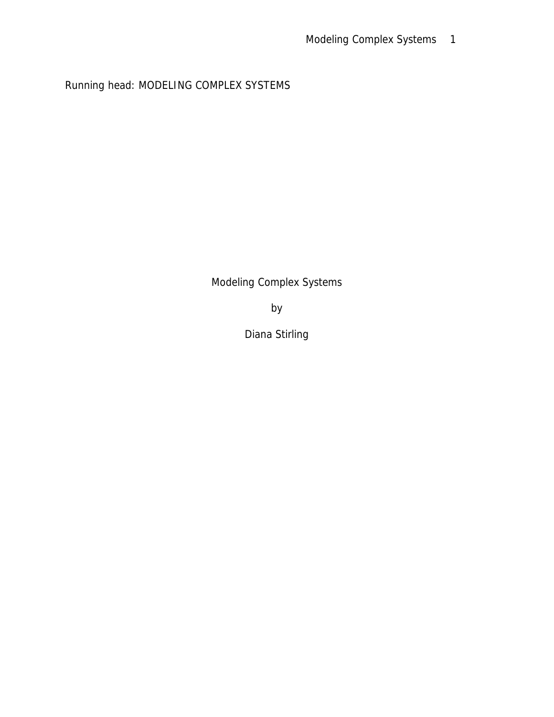Running head: MODELING COMPLEX SYSTEMS

Modeling Complex Systems

by

Diana Stirling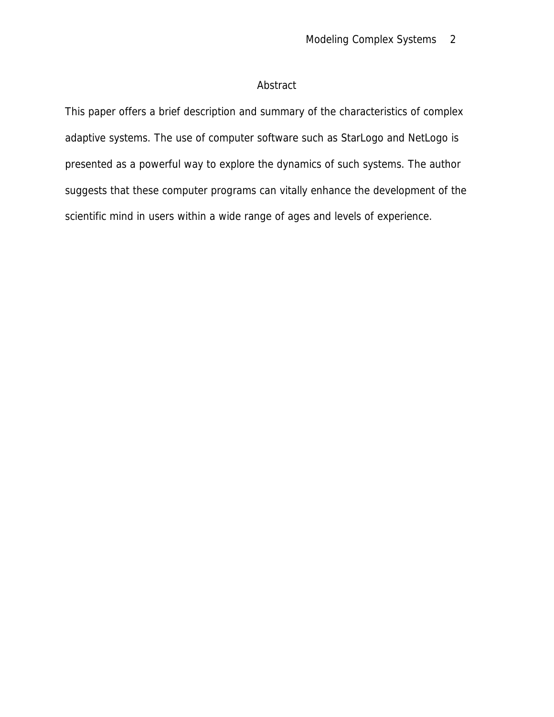# Abstract

This paper offers a brief description and summary of the characteristics of complex adaptive systems. The use of computer software such as StarLogo and NetLogo is presented as a powerful way to explore the dynamics of such systems. The author suggests that these computer programs can vitally enhance the development of the scientific mind in users within a wide range of ages and levels of experience.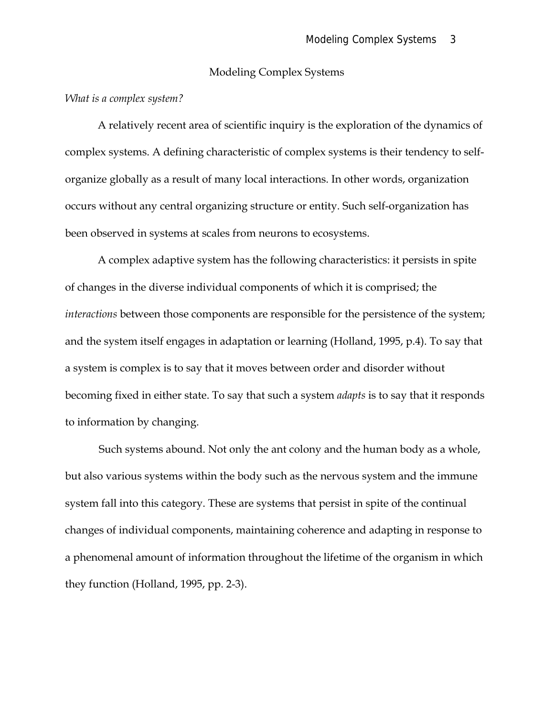### Modeling Complex Systems

### *What is a complex system?*

A relatively recent area of scientific inquiry is the exploration of the dynamics of complex systems. A defining characteristic of complex systems is their tendency to selforganize globally as a result of many local interactions. In other words, organization occurs without any central organizing structure or entity. Such self-organization has been observed in systems at scales from neurons to ecosystems.

A complex adaptive system has the following characteristics: it persists in spite of changes in the diverse individual components of which it is comprised; the *interactions* between those components are responsible for the persistence of the system; and the system itself engages in adaptation or learning (Holland, 1995, p.4). To say that a system is complex is to say that it moves between order and disorder without becoming fixed in either state. To say that such a system *adapts* is to say that it responds to information by changing.

Such systems abound. Not only the ant colony and the human body as a whole, but also various systems within the body such as the nervous system and the immune system fall into this category. These are systems that persist in spite of the continual changes of individual components, maintaining coherence and adapting in response to a phenomenal amount of information throughout the lifetime of the organism in which they function (Holland, 1995, pp. 2-3).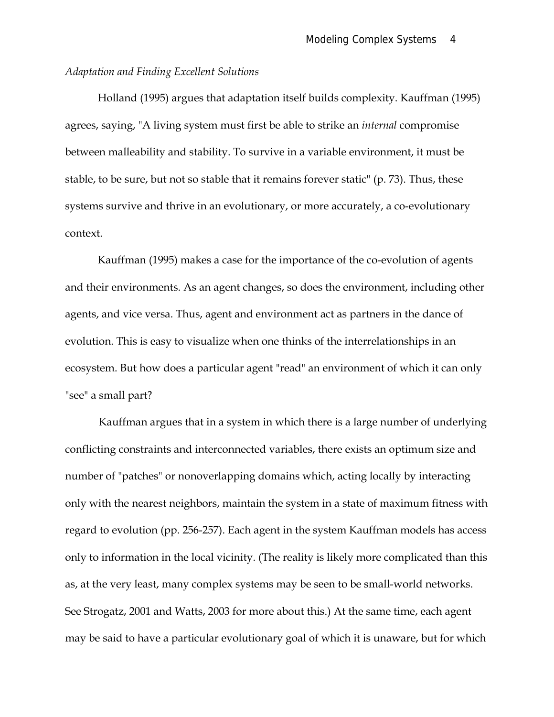### *Adaptation and Finding Excellent Solutions*

Holland (1995) argues that adaptation itself builds complexity. Kauffman (1995) agrees, saying, "A living system must first be able to strike an *internal* compromise between malleability and stability. To survive in a variable environment, it must be stable, to be sure, but not so stable that it remains forever static" (p. 73). Thus, these systems survive and thrive in an evolutionary, or more accurately, a co-evolutionary context.

Kauffman (1995) makes a case for the importance of the co-evolution of agents and their environments. As an agent changes, so does the environment, including other agents, and vice versa. Thus, agent and environment act as partners in the dance of evolution. This is easy to visualize when one thinks of the interrelationships in an ecosystem. But how does a particular agent "read" an environment of which it can only "see" a small part?

Kauffman argues that in a system in which there is a large number of underlying conflicting constraints and interconnected variables, there exists an optimum size and number of "patches" or nonoverlapping domains which, acting locally by interacting only with the nearest neighbors, maintain the system in a state of maximum fitness with regard to evolution (pp. 256-257). Each agent in the system Kauffman models has access only to information in the local vicinity. (The reality is likely more complicated than this as, at the very least, many complex systems may be seen to be small-world networks. See Strogatz, 2001 and Watts, 2003 for more about this.) At the same time, each agent may be said to have a particular evolutionary goal of which it is unaware, but for which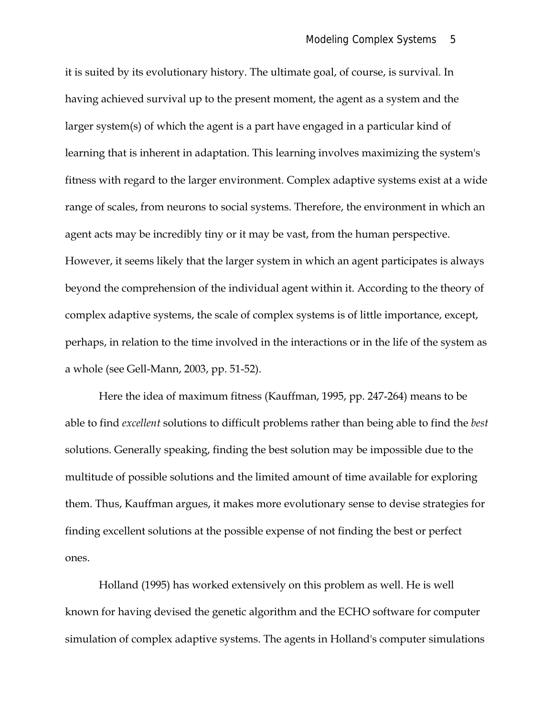it is suited by its evolutionary history. The ultimate goal, of course, is survival. In having achieved survival up to the present moment, the agent as a system and the larger system(s) of which the agent is a part have engaged in a particular kind of learning that is inherent in adaptation. This learning involves maximizing the system's fitness with regard to the larger environment. Complex adaptive systems exist at a wide range of scales, from neurons to social systems. Therefore, the environment in which an agent acts may be incredibly tiny or it may be vast, from the human perspective. However, it seems likely that the larger system in which an agent participates is always beyond the comprehension of the individual agent within it. According to the theory of complex adaptive systems, the scale of complex systems is of little importance, except, perhaps, in relation to the time involved in the interactions or in the life of the system as a whole (see Gell-Mann, 2003, pp. 51-52).

Here the idea of maximum fitness (Kauffman, 1995, pp. 247-264) means to be able to find *excellent* solutions to difficult problems rather than being able to find the *best* solutions. Generally speaking, finding the best solution may be impossible due to the multitude of possible solutions and the limited amount of time available for exploring them. Thus, Kauffman argues, it makes more evolutionary sense to devise strategies for finding excellent solutions at the possible expense of not finding the best or perfect ones.

Holland (1995) has worked extensively on this problem as well. He is well known for having devised the genetic algorithm and the ECHO software for computer simulation of complex adaptive systems. The agents in Holland's computer simulations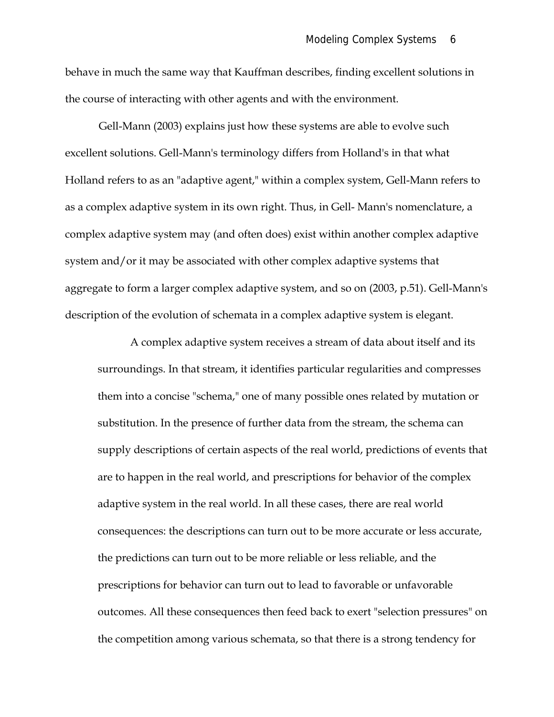behave in much the same way that Kauffman describes, finding excellent solutions in the course of interacting with other agents and with the environment.

Gell-Mann (2003) explains just how these systems are able to evolve such excellent solutions. Gell-Mann's terminology differs from Holland's in that what Holland refers to as an "adaptive agent," within a complex system, Gell-Mann refers to as a complex adaptive system in its own right. Thus, in Gell- Mann's nomenclature, a complex adaptive system may (and often does) exist within another complex adaptive system and/or it may be associated with other complex adaptive systems that aggregate to form a larger complex adaptive system, and so on (2003, p.51). Gell-Mann's description of the evolution of schemata in a complex adaptive system is elegant.

A complex adaptive system receives a stream of data about itself and its surroundings. In that stream, it identifies particular regularities and compresses them into a concise "schema," one of many possible ones related by mutation or substitution. In the presence of further data from the stream, the schema can supply descriptions of certain aspects of the real world, predictions of events that are to happen in the real world, and prescriptions for behavior of the complex adaptive system in the real world. In all these cases, there are real world consequences: the descriptions can turn out to be more accurate or less accurate, the predictions can turn out to be more reliable or less reliable, and the prescriptions for behavior can turn out to lead to favorable or unfavorable outcomes. All these consequences then feed back to exert "selection pressures" on the competition among various schemata, so that there is a strong tendency for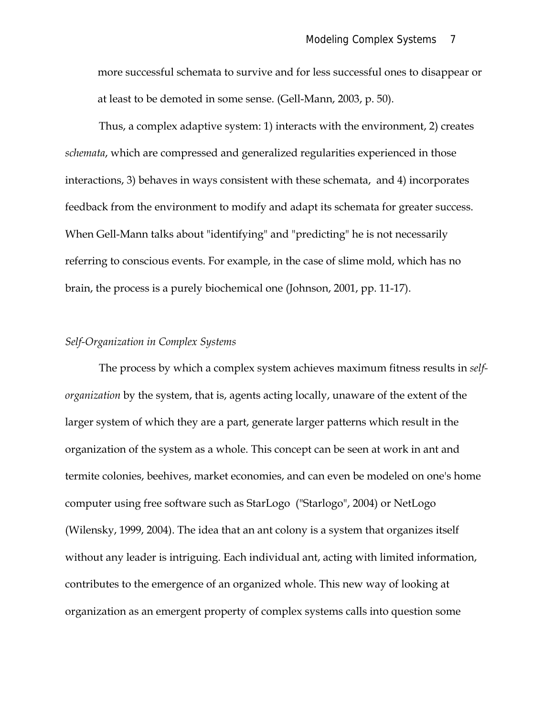more successful schemata to survive and for less successful ones to disappear or at least to be demoted in some sense. (Gell-Mann, 2003, p. 50).

Thus, a complex adaptive system: 1) interacts with the environment, 2) creates *schemata*, which are compressed and generalized regularities experienced in those interactions, 3) behaves in ways consistent with these schemata, and 4) incorporates feedback from the environment to modify and adapt its schemata for greater success. When Gell-Mann talks about "identifying" and "predicting" he is not necessarily referring to conscious events. For example, in the case of slime mold, which has no brain, the process is a purely biochemical one (Johnson, 2001, pp. 11-17).

### *Self-Organization in Complex Systems*

The process by which a complex system achieves maximum fitness results in *selforganization* by the system, that is, agents acting locally, unaware of the extent of the larger system of which they are a part, generate larger patterns which result in the organization of the system as a whole. This concept can be seen at work in ant and termite colonies, beehives, market economies, and can even be modeled on one's home computer using free software such as StarLogo ("Starlogo", 2004) or NetLogo (Wilensky, 1999, 2004). The idea that an ant colony is a system that organizes itself without any leader is intriguing. Each individual ant, acting with limited information, contributes to the emergence of an organized whole. This new way of looking at organization as an emergent property of complex systems calls into question some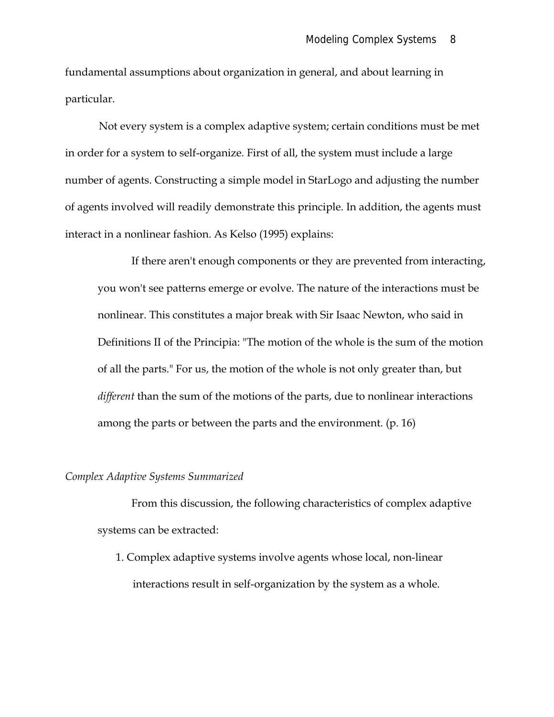fundamental assumptions about organization in general, and about learning in particular.

Not every system is a complex adaptive system; certain conditions must be met in order for a system to self-organize. First of all, the system must include a large number of agents. Constructing a simple model in StarLogo and adjusting the number of agents involved will readily demonstrate this principle. In addition, the agents must interact in a nonlinear fashion. As Kelso (1995) explains:

If there aren't enough components or they are prevented from interacting, you won't see patterns emerge or evolve. The nature of the interactions must be nonlinear. This constitutes a major break with Sir Isaac Newton, who said in Definitions II of the Principia: "The motion of the whole is the sum of the motion of all the parts." For us, the motion of the whole is not only greater than, but *different* than the sum of the motions of the parts, due to nonlinear interactions among the parts or between the parts and the environment. (p. 16)

### *Complex Adaptive Systems Summarized*

From this discussion, the following characteristics of complex adaptive systems can be extracted:

1. Complex adaptive systems involve agents whose local, non-linear interactions result in self-organization by the system as a whole.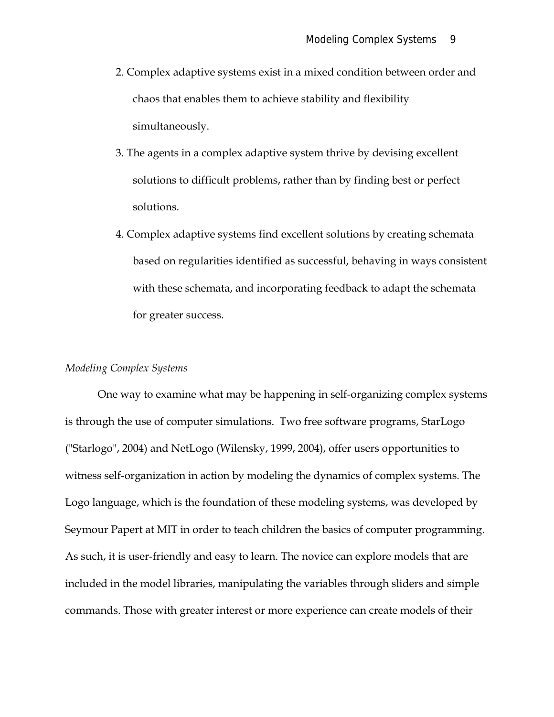- 2. Complex adaptive systems exist in a mixed condition between order and chaos that enables them to achieve stability and flexibility simultaneously.
- 3. The agents in a complex adaptive system thrive by devising excellent solutions to difficult problems, rather than by finding best or perfect solutions.
- 4. Complex adaptive systems find excellent solutions by creating schemata based on regularities identified as successful, behaving in ways consistent with these schemata, and incorporating feedback to adapt the schemata for greater success.

## *Modeling Complex Systems*

One way to examine what may be happening in self-organizing complex systems is through the use of computer simulations. Two free software programs, StarLogo ("Starlogo", 2004) and NetLogo (Wilensky, 1999, 2004), offer users opportunities to witness self-organization in action by modeling the dynamics of complex systems. The Logo language, which is the foundation of these modeling systems, was developed by Seymour Papert at MIT in order to teach children the basics of computer programming. As such, it is user-friendly and easy to learn. The novice can explore models that are included in the model libraries, manipulating the variables through sliders and simple commands. Those with greater interest or more experience can create models of their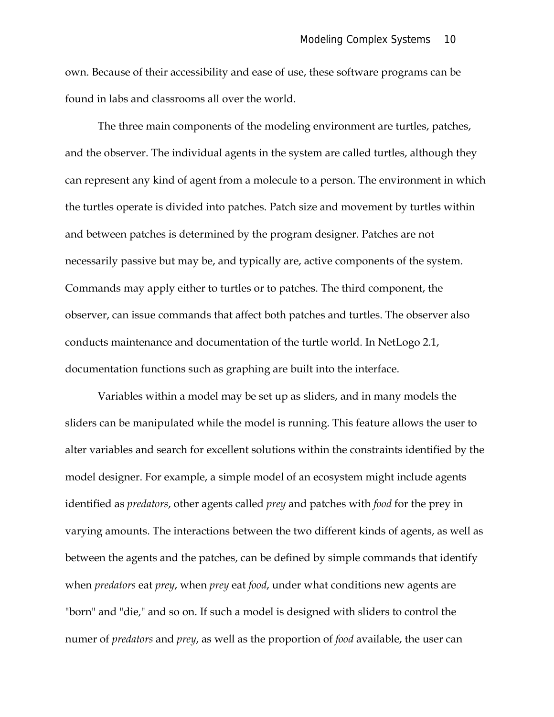own. Because of their accessibility and ease of use, these software programs can be found in labs and classrooms all over the world.

The three main components of the modeling environment are turtles, patches, and the observer. The individual agents in the system are called turtles, although they can represent any kind of agent from a molecule to a person. The environment in which the turtles operate is divided into patches. Patch size and movement by turtles within and between patches is determined by the program designer. Patches are not necessarily passive but may be, and typically are, active components of the system. Commands may apply either to turtles or to patches. The third component, the observer, can issue commands that affect both patches and turtles. The observer also conducts maintenance and documentation of the turtle world. In NetLogo 2.1, documentation functions such as graphing are built into the interface.

Variables within a model may be set up as sliders, and in many models the sliders can be manipulated while the model is running. This feature allows the user to alter variables and search for excellent solutions within the constraints identified by the model designer. For example, a simple model of an ecosystem might include agents identified as *predators*, other agents called *prey* and patches with *food* for the prey in varying amounts. The interactions between the two different kinds of agents, as well as between the agents and the patches, can be defined by simple commands that identify when *predators* eat *prey*, when *prey* eat *food*, under what conditions new agents are "born" and "die," and so on. If such a model is designed with sliders to control the numer of *predators* and *prey*, as well as the proportion of *food* available, the user can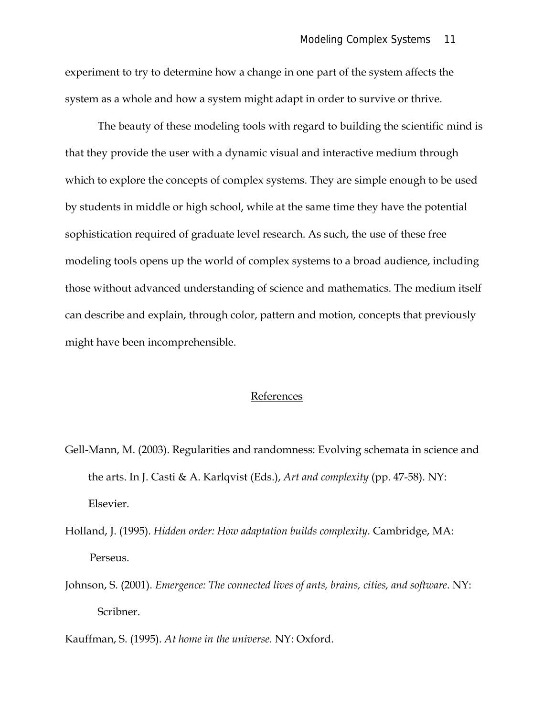experiment to try to determine how a change in one part of the system affects the system as a whole and how a system might adapt in order to survive or thrive.

The beauty of these modeling tools with regard to building the scientific mind is that they provide the user with a dynamic visual and interactive medium through which to explore the concepts of complex systems. They are simple enough to be used by students in middle or high school, while at the same time they have the potential sophistication required of graduate level research. As such, the use of these free modeling tools opens up the world of complex systems to a broad audience, including those without advanced understanding of science and mathematics. The medium itself can describe and explain, through color, pattern and motion, concepts that previously might have been incomprehensible.

#### References

- Gell-Mann, M. (2003). Regularities and randomness: Evolving schemata in science and the arts. In J. Casti & A. Karlqvist (Eds.), *Art and complexity* (pp. 47-58). NY: Elsevier.
- Holland, J. (1995). *Hidden order: How adaptation builds complexity*. Cambridge, MA: Perseus.
- Johnson, S. (2001). *Emergence: The connected lives of ants, brains, cities, and software*. NY: Scribner.
- Kauffman, S. (1995). *At home in the universe*. NY: Oxford.